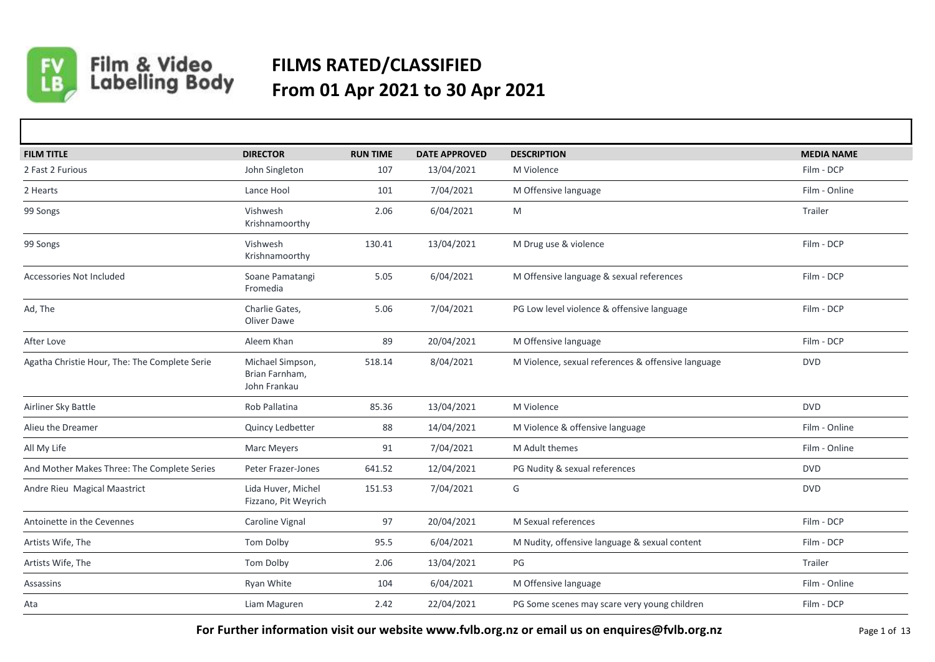

## Film & Video<br>Labelling Body **FILMS RATED/CLASSIFIED From 01 Apr 2021 to 30 Apr 2021**

| <b>FILM TITLE</b>                             | <b>DIRECTOR</b>                                    | <b>RUN TIME</b> | <b>DATE APPROVED</b> | <b>DESCRIPTION</b>                                 | <b>MEDIA NAME</b> |
|-----------------------------------------------|----------------------------------------------------|-----------------|----------------------|----------------------------------------------------|-------------------|
| 2 Fast 2 Furious                              | John Singleton                                     | 107             | 13/04/2021           | M Violence                                         | Film - DCP        |
| 2 Hearts                                      | Lance Hool                                         | 101             | 7/04/2021            | M Offensive language                               | Film - Online     |
| 99 Songs                                      | Vishwesh<br>Krishnamoorthy                         | 2.06            | 6/04/2021            | M                                                  | Trailer           |
| 99 Songs                                      | Vishwesh<br>Krishnamoorthy                         | 130.41          | 13/04/2021           | M Drug use & violence                              | Film - DCP        |
| Accessories Not Included                      | Soane Pamatangi<br>Fromedia                        | 5.05            | 6/04/2021            | M Offensive language & sexual references           | Film - DCP        |
| Ad, The                                       | Charlie Gates,<br>Oliver Dawe                      | 5.06            | 7/04/2021            | PG Low level violence & offensive language         | Film - DCP        |
| After Love                                    | Aleem Khan                                         | 89              | 20/04/2021           | M Offensive language                               | Film - DCP        |
| Agatha Christie Hour, The: The Complete Serie | Michael Simpson,<br>Brian Farnham,<br>John Frankau | 518.14          | 8/04/2021            | M Violence, sexual references & offensive language | <b>DVD</b>        |
| Airliner Sky Battle                           | Rob Pallatina                                      | 85.36           | 13/04/2021           | M Violence                                         | <b>DVD</b>        |
| Alieu the Dreamer                             | Quincy Ledbetter                                   | 88              | 14/04/2021           | M Violence & offensive language                    | Film - Online     |
| All My Life                                   | <b>Marc Meyers</b>                                 | 91              | 7/04/2021            | M Adult themes                                     | Film - Online     |
| And Mother Makes Three: The Complete Series   | Peter Frazer-Jones                                 | 641.52          | 12/04/2021           | PG Nudity & sexual references                      | <b>DVD</b>        |
| Andre Rieu Magical Maastrict                  | Lida Huver, Michel<br>Fizzano, Pit Weyrich         | 151.53          | 7/04/2021            | G                                                  | <b>DVD</b>        |
| Antoinette in the Cevennes                    | Caroline Vignal                                    | 97              | 20/04/2021           | M Sexual references                                | Film - DCP        |
| Artists Wife, The                             | Tom Dolby                                          | 95.5            | 6/04/2021            | M Nudity, offensive language & sexual content      | Film - DCP        |
| Artists Wife, The                             | Tom Dolby                                          | 2.06            | 13/04/2021           | PG                                                 | Trailer           |
| Assassins                                     | <b>Ryan White</b>                                  | 104             | 6/04/2021            | M Offensive language                               | Film - Online     |
| Ata                                           | Liam Maguren                                       | 2.42            | 22/04/2021           | PG Some scenes may scare very young children       | Film - DCP        |

**For Further information visit our website www.fvlb.org.nz or email us on enquires@fvlb.org.nz** Page 1 of 13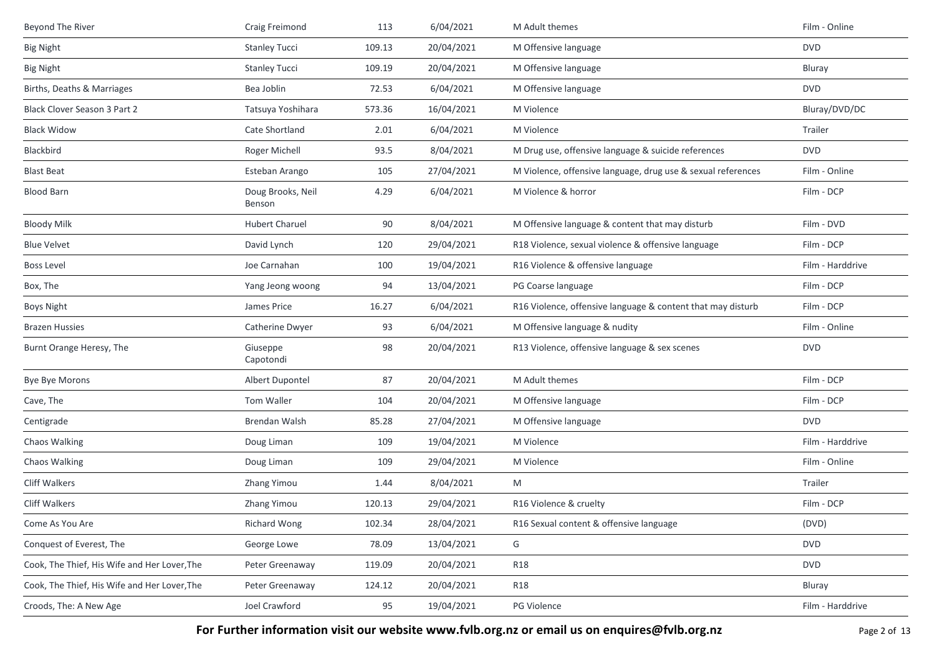| Beyond The River                             | Craig Freimond              | 113    | 6/04/2021  | M Adult themes                                               | Film - Online    |
|----------------------------------------------|-----------------------------|--------|------------|--------------------------------------------------------------|------------------|
| <b>Big Night</b>                             | <b>Stanley Tucci</b>        | 109.13 | 20/04/2021 | M Offensive language                                         | <b>DVD</b>       |
| <b>Big Night</b>                             | <b>Stanley Tucci</b>        | 109.19 | 20/04/2021 | M Offensive language                                         | Bluray           |
| Births, Deaths & Marriages                   | Bea Joblin                  | 72.53  | 6/04/2021  | M Offensive language                                         | <b>DVD</b>       |
| Black Clover Season 3 Part 2                 | Tatsuya Yoshihara           | 573.36 | 16/04/2021 | M Violence                                                   | Bluray/DVD/DC    |
| <b>Black Widow</b>                           | Cate Shortland              | 2.01   | 6/04/2021  | M Violence                                                   | Trailer          |
| Blackbird                                    | Roger Michell               | 93.5   | 8/04/2021  | M Drug use, offensive language & suicide references          | <b>DVD</b>       |
| <b>Blast Beat</b>                            | Esteban Arango              | 105    | 27/04/2021 | M Violence, offensive language, drug use & sexual references | Film - Online    |
| <b>Blood Barn</b>                            | Doug Brooks, Neil<br>Benson | 4.29   | 6/04/2021  | M Violence & horror                                          | Film - DCP       |
| <b>Bloody Milk</b>                           | <b>Hubert Charuel</b>       | 90     | 8/04/2021  | M Offensive language & content that may disturb              | Film - DVD       |
| <b>Blue Velvet</b>                           | David Lynch                 | 120    | 29/04/2021 | R18 Violence, sexual violence & offensive language           | Film - DCP       |
| <b>Boss Level</b>                            | Joe Carnahan                | 100    | 19/04/2021 | R16 Violence & offensive language                            | Film - Harddrive |
| Box, The                                     | Yang Jeong woong            | 94     | 13/04/2021 | PG Coarse language                                           | Film - DCP       |
| <b>Boys Night</b>                            | James Price                 | 16.27  | 6/04/2021  | R16 Violence, offensive language & content that may disturb  | Film - DCP       |
| <b>Brazen Hussies</b>                        | Catherine Dwyer             | 93     | 6/04/2021  | M Offensive language & nudity                                | Film - Online    |
| Burnt Orange Heresy, The                     | Giuseppe<br>Capotondi       | 98     | 20/04/2021 | R13 Violence, offensive language & sex scenes                | <b>DVD</b>       |
| Bye Bye Morons                               | Albert Dupontel             | 87     | 20/04/2021 | M Adult themes                                               | Film - DCP       |
| Cave, The                                    | Tom Waller                  | 104    | 20/04/2021 | M Offensive language                                         | Film - DCP       |
| Centigrade                                   | Brendan Walsh               | 85.28  | 27/04/2021 | M Offensive language                                         | <b>DVD</b>       |
| Chaos Walking                                | Doug Liman                  | 109    | 19/04/2021 | M Violence                                                   | Film - Harddrive |
| Chaos Walking                                | Doug Liman                  | 109    | 29/04/2021 | M Violence                                                   | Film - Online    |
| Cliff Walkers                                | Zhang Yimou                 | 1.44   | 8/04/2021  | M                                                            | Trailer          |
| <b>Cliff Walkers</b>                         | Zhang Yimou                 | 120.13 | 29/04/2021 | R16 Violence & cruelty                                       | Film - DCP       |
| Come As You Are                              | Richard Wong                | 102.34 | 28/04/2021 | R16 Sexual content & offensive language                      | (DVD)            |
| Conquest of Everest, The                     | George Lowe                 | 78.09  | 13/04/2021 | G                                                            | <b>DVD</b>       |
| Cook, The Thief, His Wife and Her Lover, The | Peter Greenaway             | 119.09 | 20/04/2021 | <b>R18</b>                                                   | <b>DVD</b>       |
| Cook, The Thief, His Wife and Her Lover, The | Peter Greenaway             | 124.12 | 20/04/2021 | <b>R18</b>                                                   | Bluray           |
| Croods, The: A New Age                       | Joel Crawford               | 95     | 19/04/2021 | PG Violence                                                  | Film - Harddrive |

For Further information visit our website www.fvlb.org.nz or email us on enquires@fvlb.org.nz<br>Page 2 of 13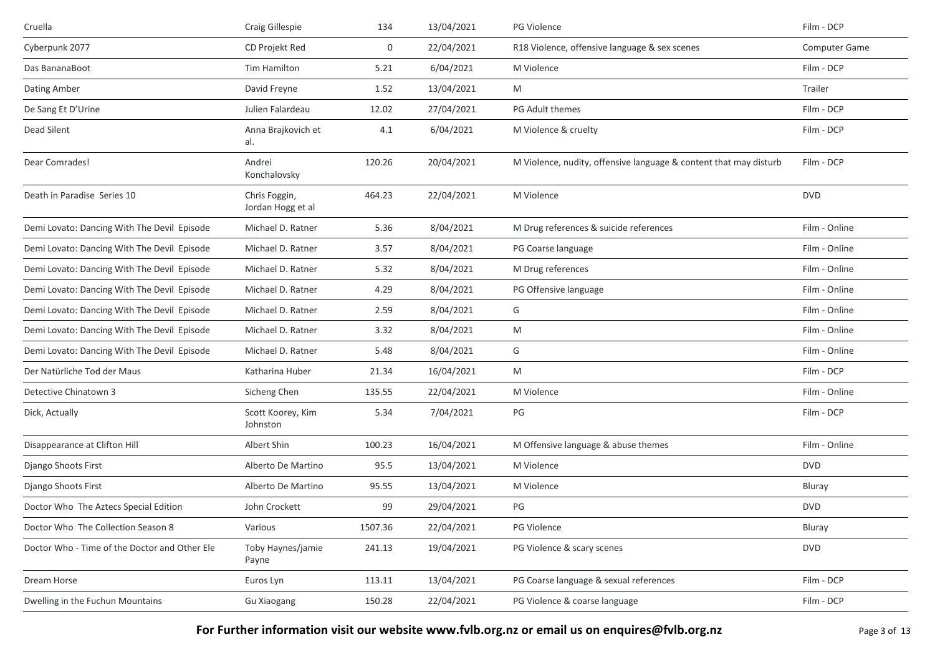| Cruella                                       | Craig Gillespie                    | 134     | 13/04/2021 | PG Violence                                                       | Film - DCP    |
|-----------------------------------------------|------------------------------------|---------|------------|-------------------------------------------------------------------|---------------|
| Cyberpunk 2077                                | CD Projekt Red                     | 0       | 22/04/2021 | R18 Violence, offensive language & sex scenes                     | Computer Game |
| Das BananaBoot                                | Tim Hamilton                       | 5.21    | 6/04/2021  | M Violence                                                        | Film - DCP    |
| Dating Amber                                  | David Freyne                       | 1.52    | 13/04/2021 | M                                                                 | Trailer       |
| De Sang Et D'Urine                            | Julien Falardeau                   | 12.02   | 27/04/2021 | PG Adult themes                                                   | Film - DCP    |
| Dead Silent                                   | Anna Brajkovich et<br>al.          | 4.1     | 6/04/2021  | M Violence & cruelty                                              | Film - DCP    |
| Dear Comrades!                                | Andrei<br>Konchalovsky             | 120.26  | 20/04/2021 | M Violence, nudity, offensive language & content that may disturb | Film - DCP    |
| Death in Paradise Series 10                   | Chris Foggin,<br>Jordan Hogg et al | 464.23  | 22/04/2021 | M Violence                                                        | <b>DVD</b>    |
| Demi Lovato: Dancing With The Devil Episode   | Michael D. Ratner                  | 5.36    | 8/04/2021  | M Drug references & suicide references                            | Film - Online |
| Demi Lovato: Dancing With The Devil Episode   | Michael D. Ratner                  | 3.57    | 8/04/2021  | PG Coarse language                                                | Film - Online |
| Demi Lovato: Dancing With The Devil Episode   | Michael D. Ratner                  | 5.32    | 8/04/2021  | M Drug references                                                 | Film - Online |
| Demi Lovato: Dancing With The Devil Episode   | Michael D. Ratner                  | 4.29    | 8/04/2021  | PG Offensive language                                             | Film - Online |
| Demi Lovato: Dancing With The Devil Episode   | Michael D. Ratner                  | 2.59    | 8/04/2021  | G                                                                 | Film - Online |
| Demi Lovato: Dancing With The Devil Episode   | Michael D. Ratner                  | 3.32    | 8/04/2021  | M                                                                 | Film - Online |
| Demi Lovato: Dancing With The Devil Episode   | Michael D. Ratner                  | 5.48    | 8/04/2021  | G                                                                 | Film - Online |
| Der Natürliche Tod der Maus                   | Katharina Huber                    | 21.34   | 16/04/2021 | M                                                                 | Film - DCP    |
| Detective Chinatown 3                         | Sicheng Chen                       | 135.55  | 22/04/2021 | M Violence                                                        | Film - Online |
| Dick, Actually                                | Scott Koorey, Kim<br>Johnston      | 5.34    | 7/04/2021  | PG                                                                | Film - DCP    |
| Disappearance at Clifton Hill                 | Albert Shin                        | 100.23  | 16/04/2021 | M Offensive language & abuse themes                               | Film - Online |
| Django Shoots First                           | Alberto De Martino                 | 95.5    | 13/04/2021 | M Violence                                                        | <b>DVD</b>    |
| Django Shoots First                           | Alberto De Martino                 | 95.55   | 13/04/2021 | M Violence                                                        | Bluray        |
| Doctor Who The Aztecs Special Edition         | John Crockett                      | 99      | 29/04/2021 | PG                                                                | <b>DVD</b>    |
| Doctor Who The Collection Season 8            | Various                            | 1507.36 | 22/04/2021 | PG Violence                                                       | Bluray        |
| Doctor Who - Time of the Doctor and Other Ele | Toby Haynes/jamie<br>Payne         | 241.13  | 19/04/2021 | PG Violence & scary scenes                                        | <b>DVD</b>    |
| Dream Horse                                   | Euros Lyn                          | 113.11  | 13/04/2021 | PG Coarse language & sexual references                            | Film - DCP    |
| Dwelling in the Fuchun Mountains              | Gu Xiaogang                        | 150.28  | 22/04/2021 | PG Violence & coarse language                                     | Film - DCP    |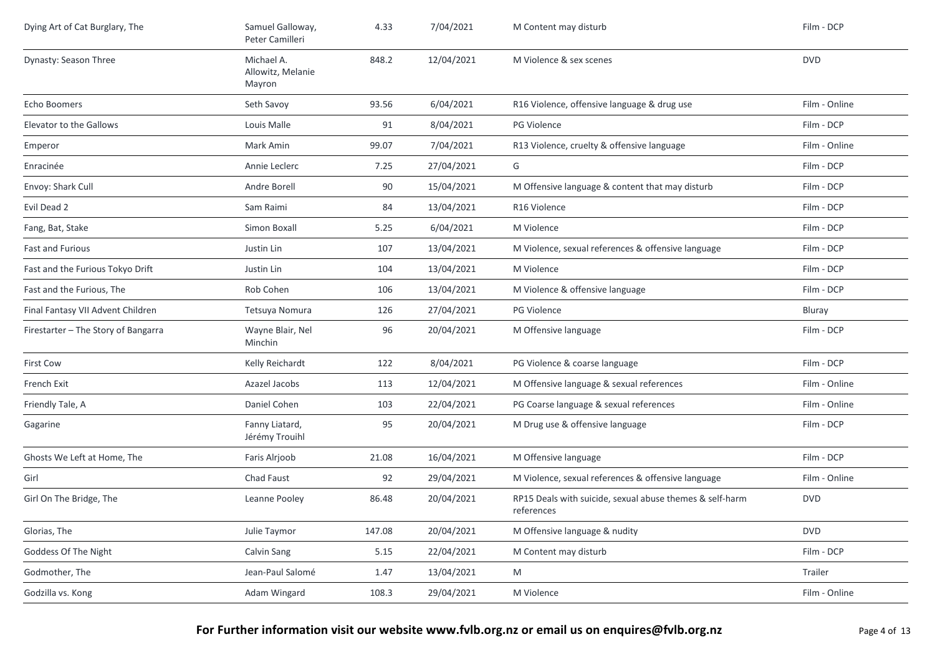| Dying Art of Cat Burglary, The      | Samuel Galloway,<br>Peter Camilleri       | 4.33   | 7/04/2021  | M Content may disturb                                                  | Film - DCP    |
|-------------------------------------|-------------------------------------------|--------|------------|------------------------------------------------------------------------|---------------|
| Dynasty: Season Three               | Michael A.<br>Allowitz, Melanie<br>Mayron | 848.2  | 12/04/2021 | M Violence & sex scenes                                                | <b>DVD</b>    |
| Echo Boomers                        | Seth Savoy                                | 93.56  | 6/04/2021  | R16 Violence, offensive language & drug use                            | Film - Online |
| Elevator to the Gallows             | Louis Malle                               | 91     | 8/04/2021  | PG Violence                                                            | Film - DCP    |
| Emperor                             | Mark Amin                                 | 99.07  | 7/04/2021  | R13 Violence, cruelty & offensive language                             | Film - Online |
| Enracinée                           | Annie Leclerc                             | 7.25   | 27/04/2021 | G                                                                      | Film - DCP    |
| Envoy: Shark Cull                   | Andre Borell                              | 90     | 15/04/2021 | M Offensive language & content that may disturb                        | Film - DCP    |
| Evil Dead 2                         | Sam Raimi                                 | 84     | 13/04/2021 | R <sub>16</sub> Violence                                               | Film - DCP    |
| Fang, Bat, Stake                    | Simon Boxall                              | 5.25   | 6/04/2021  | M Violence                                                             | Film - DCP    |
| Fast and Furious                    | Justin Lin                                | 107    | 13/04/2021 | M Violence, sexual references & offensive language                     | Film - DCP    |
| Fast and the Furious Tokyo Drift    | Justin Lin                                | 104    | 13/04/2021 | M Violence                                                             | Film - DCP    |
| Fast and the Furious, The           | Rob Cohen                                 | 106    | 13/04/2021 | M Violence & offensive language                                        | Film - DCP    |
| Final Fantasy VII Advent Children   | Tetsuya Nomura                            | 126    | 27/04/2021 | <b>PG Violence</b>                                                     | Bluray        |
| Firestarter - The Story of Bangarra | Wayne Blair, Nel<br>Minchin               | 96     | 20/04/2021 | M Offensive language                                                   | Film - DCP    |
| <b>First Cow</b>                    | Kelly Reichardt                           | 122    | 8/04/2021  | PG Violence & coarse language                                          | Film - DCP    |
| French Exit                         | Azazel Jacobs                             | 113    | 12/04/2021 | M Offensive language & sexual references                               | Film - Online |
| Friendly Tale, A                    | Daniel Cohen                              | 103    | 22/04/2021 | PG Coarse language & sexual references                                 | Film - Online |
| Gagarine                            | Fanny Liatard,<br>Jérémy Trouihl          | 95     | 20/04/2021 | M Drug use & offensive language                                        | Film - DCP    |
| Ghosts We Left at Home, The         | Faris Alrjoob                             | 21.08  | 16/04/2021 | M Offensive language                                                   | Film - DCP    |
| Girl                                | Chad Faust                                | 92     | 29/04/2021 | M Violence, sexual references & offensive language                     | Film - Online |
| Girl On The Bridge, The             | Leanne Pooley                             | 86.48  | 20/04/2021 | RP15 Deals with suicide, sexual abuse themes & self-harm<br>references | <b>DVD</b>    |
| Glorias, The                        | Julie Taymor                              | 147.08 | 20/04/2021 | M Offensive language & nudity                                          | <b>DVD</b>    |
| Goddess Of The Night                | Calvin Sang                               | 5.15   | 22/04/2021 | M Content may disturb                                                  | Film - DCP    |
| Godmother, The                      | Jean-Paul Salomé                          | 1.47   | 13/04/2021 | M                                                                      | Trailer       |
| Godzilla vs. Kong                   | Adam Wingard                              | 108.3  | 29/04/2021 | M Violence                                                             | Film - Online |
|                                     |                                           |        |            |                                                                        |               |

For Further information visit our website www.fvlb.org.nz or email us on enquires@fvlb.org.nz<br>Page 4 of 13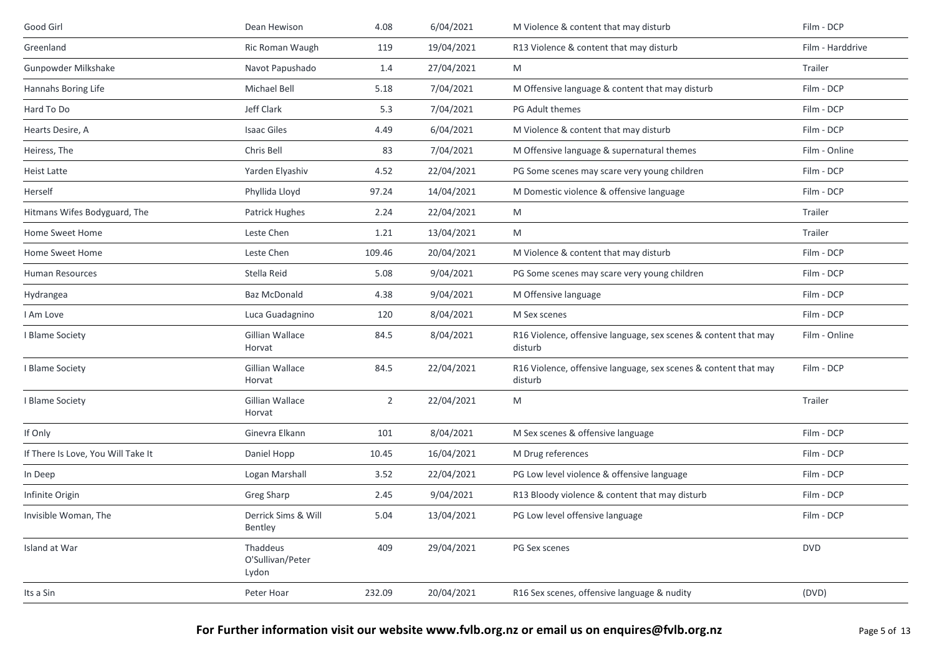| Good Girl                          | Dean Hewison                          | 4.08           | 6/04/2021  | M Violence & content that may disturb                                      | Film - DCP       |
|------------------------------------|---------------------------------------|----------------|------------|----------------------------------------------------------------------------|------------------|
| Greenland                          | Ric Roman Waugh                       | 119            | 19/04/2021 | R13 Violence & content that may disturb                                    | Film - Harddrive |
| Gunpowder Milkshake                | Navot Papushado                       | 1.4            | 27/04/2021 | M                                                                          | Trailer          |
| Hannahs Boring Life                | <b>Michael Bell</b>                   | 5.18           | 7/04/2021  | M Offensive language & content that may disturb                            | Film - DCP       |
| Hard To Do                         | Jeff Clark                            | 5.3            | 7/04/2021  | PG Adult themes                                                            | Film - DCP       |
| Hearts Desire, A                   | <b>Isaac Giles</b>                    | 4.49           | 6/04/2021  | M Violence & content that may disturb                                      | Film - DCP       |
| Heiress, The                       | Chris Bell                            | 83             | 7/04/2021  | M Offensive language & supernatural themes                                 | Film - Online    |
| <b>Heist Latte</b>                 | Yarden Elyashiv                       | 4.52           | 22/04/2021 | PG Some scenes may scare very young children                               | Film - DCP       |
| Herself                            | Phyllida Lloyd                        | 97.24          | 14/04/2021 | M Domestic violence & offensive language                                   | Film - DCP       |
| Hitmans Wifes Bodyguard, The       | Patrick Hughes                        | 2.24           | 22/04/2021 | M                                                                          | Trailer          |
| Home Sweet Home                    | Leste Chen                            | 1.21           | 13/04/2021 | M                                                                          | Trailer          |
| Home Sweet Home                    | Leste Chen                            | 109.46         | 20/04/2021 | M Violence & content that may disturb                                      | Film - DCP       |
| Human Resources                    | Stella Reid                           | 5.08           | 9/04/2021  | PG Some scenes may scare very young children                               | Film - DCP       |
| Hydrangea                          | Baz McDonald                          | 4.38           | 9/04/2021  | M Offensive language                                                       | Film - DCP       |
| I Am Love                          | Luca Guadagnino                       | 120            | 8/04/2021  | M Sex scenes                                                               | Film - DCP       |
| I Blame Society                    | Gillian Wallace<br>Horvat             | 84.5           | 8/04/2021  | R16 Violence, offensive language, sex scenes & content that may<br>disturb | Film - Online    |
| I Blame Society                    | Gillian Wallace<br>Horvat             | 84.5           | 22/04/2021 | R16 Violence, offensive language, sex scenes & content that may<br>disturb | Film - DCP       |
| I Blame Society                    | Gillian Wallace<br>Horvat             | $\overline{2}$ | 22/04/2021 | M                                                                          | Trailer          |
| If Only                            | Ginevra Elkann                        | 101            | 8/04/2021  | M Sex scenes & offensive language                                          | Film - DCP       |
| If There Is Love, You Will Take It | Daniel Hopp                           | 10.45          | 16/04/2021 | M Drug references                                                          | Film - DCP       |
| In Deep                            | Logan Marshall                        | 3.52           | 22/04/2021 | PG Low level violence & offensive language                                 | Film - DCP       |
| Infinite Origin                    | Greg Sharp                            | 2.45           | 9/04/2021  | R13 Bloody violence & content that may disturb                             | Film - DCP       |
| Invisible Woman, The               | Derrick Sims & Will<br>Bentley        | 5.04           | 13/04/2021 | PG Low level offensive language                                            | Film - DCP       |
| Island at War                      | Thaddeus<br>O'Sullivan/Peter<br>Lydon | 409            | 29/04/2021 | PG Sex scenes                                                              | <b>DVD</b>       |
| Its a Sin                          | Peter Hoar                            | 232.09         | 20/04/2021 | R16 Sex scenes, offensive language & nudity                                | (DVD)            |
|                                    |                                       |                |            |                                                                            |                  |

For Further information visit our website www.fvlb.org.nz or email us on enquires@fvlb.org.nz<br>Page 5 of 13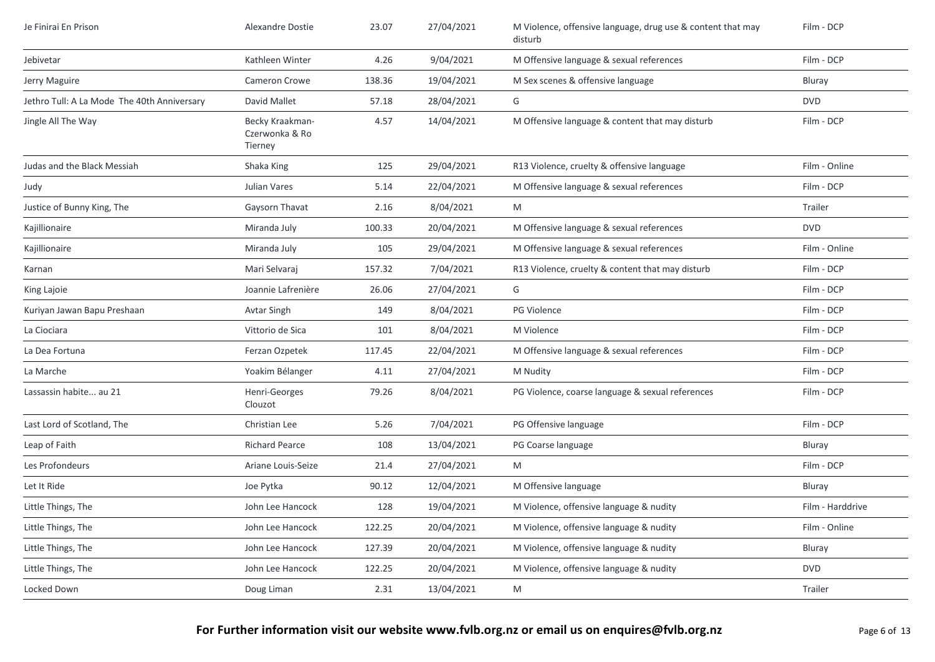| Je Finirai En Prison                        | Alexandre Dostie                             | 23.07  | 27/04/2021 | M Violence, offensive language, drug use & content that may<br>disturb | Film - DCP       |
|---------------------------------------------|----------------------------------------------|--------|------------|------------------------------------------------------------------------|------------------|
| Jebivetar                                   | Kathleen Winter                              | 4.26   | 9/04/2021  | M Offensive language & sexual references                               | Film - DCP       |
| Jerry Maguire                               | <b>Cameron Crowe</b>                         | 138.36 | 19/04/2021 | M Sex scenes & offensive language                                      | Bluray           |
| Jethro Tull: A La Mode The 40th Anniversary | David Mallet                                 | 57.18  | 28/04/2021 | G                                                                      | <b>DVD</b>       |
| Jingle All The Way                          | Becky Kraakman-<br>Czerwonka & Ro<br>Tierney | 4.57   | 14/04/2021 | M Offensive language & content that may disturb                        | Film - DCP       |
| Judas and the Black Messiah                 | Shaka King                                   | 125    | 29/04/2021 | R13 Violence, cruelty & offensive language                             | Film - Online    |
| Judy                                        | Julian Vares                                 | 5.14   | 22/04/2021 | M Offensive language & sexual references                               | Film - DCP       |
| Justice of Bunny King, The                  | Gaysorn Thavat                               | 2.16   | 8/04/2021  | M                                                                      | Trailer          |
| Kajillionaire                               | Miranda July                                 | 100.33 | 20/04/2021 | M Offensive language & sexual references                               | <b>DVD</b>       |
| Kajillionaire                               | Miranda July                                 | 105    | 29/04/2021 | M Offensive language & sexual references                               | Film - Online    |
| Karnan                                      | Mari Selvaraj                                | 157.32 | 7/04/2021  | R13 Violence, cruelty & content that may disturb                       | Film - DCP       |
| King Lajoie                                 | Joannie Lafrenière                           | 26.06  | 27/04/2021 | G                                                                      | Film - DCP       |
| Kuriyan Jawan Bapu Preshaan                 | Avtar Singh                                  | 149    | 8/04/2021  | PG Violence                                                            | Film - DCP       |
| La Ciociara                                 | Vittorio de Sica                             | 101    | 8/04/2021  | M Violence                                                             | Film - DCP       |
| La Dea Fortuna                              | Ferzan Ozpetek                               | 117.45 | 22/04/2021 | M Offensive language & sexual references                               | Film - DCP       |
| La Marche                                   | Yoakim Bélanger                              | 4.11   | 27/04/2021 | M Nudity                                                               | Film - DCP       |
| Lassassin habite au 21                      | Henri-Georges<br>Clouzot                     | 79.26  | 8/04/2021  | PG Violence, coarse language & sexual references                       | Film - DCP       |
| Last Lord of Scotland, The                  | Christian Lee                                | 5.26   | 7/04/2021  | PG Offensive language                                                  | Film - DCP       |
| Leap of Faith                               | <b>Richard Pearce</b>                        | 108    | 13/04/2021 | PG Coarse language                                                     | Bluray           |
| Les Profondeurs                             | Ariane Louis-Seize                           | 21.4   | 27/04/2021 | M                                                                      | Film - DCP       |
| Let It Ride                                 | Joe Pytka                                    | 90.12  | 12/04/2021 | M Offensive language                                                   | Bluray           |
| Little Things, The                          | John Lee Hancock                             | 128    | 19/04/2021 | M Violence, offensive language & nudity                                | Film - Harddrive |
| Little Things, The                          | John Lee Hancock                             | 122.25 | 20/04/2021 | M Violence, offensive language & nudity                                | Film - Online    |
| Little Things, The                          | John Lee Hancock                             | 127.39 | 20/04/2021 | M Violence, offensive language & nudity                                | Bluray           |
| Little Things, The                          | John Lee Hancock                             | 122.25 | 20/04/2021 | M Violence, offensive language & nudity                                | <b>DVD</b>       |
| Locked Down                                 | Doug Liman                                   | 2.31   | 13/04/2021 | M                                                                      | Trailer          |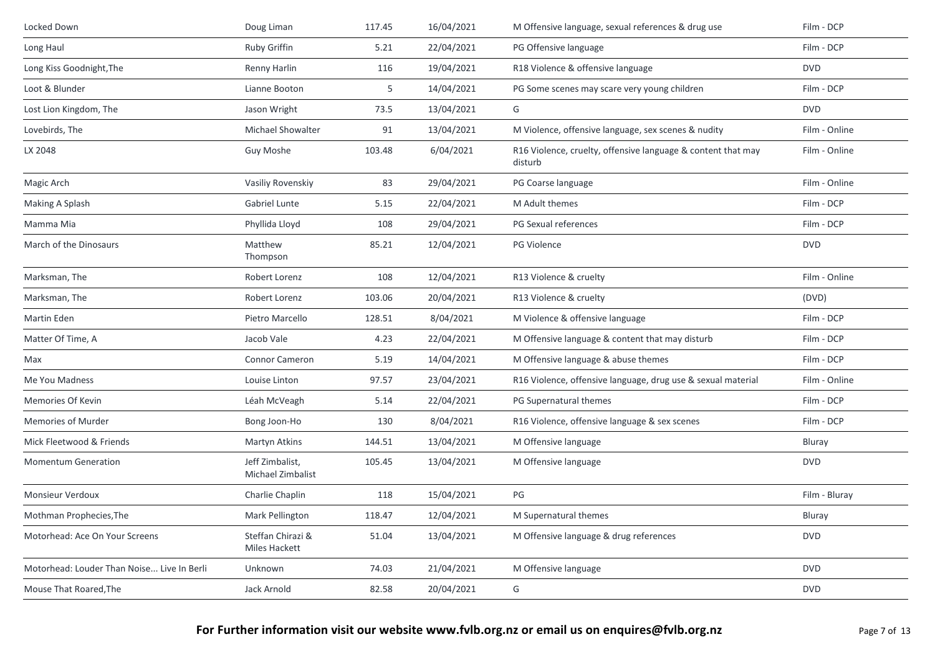| Locked Down                                | Doug Liman                           | 117.45 | 16/04/2021 | M Offensive language, sexual references & drug use                      | Film - DCP    |
|--------------------------------------------|--------------------------------------|--------|------------|-------------------------------------------------------------------------|---------------|
| Long Haul                                  | Ruby Griffin                         | 5.21   | 22/04/2021 | PG Offensive language                                                   | Film - DCP    |
| Long Kiss Goodnight, The                   | Renny Harlin                         | 116    | 19/04/2021 | R18 Violence & offensive language                                       | <b>DVD</b>    |
| Loot & Blunder                             | Lianne Booton                        | 5      | 14/04/2021 | PG Some scenes may scare very young children                            | Film - DCP    |
| Lost Lion Kingdom, The                     | Jason Wright                         | 73.5   | 13/04/2021 | G                                                                       | <b>DVD</b>    |
| Lovebirds, The                             | Michael Showalter                    | 91     | 13/04/2021 | M Violence, offensive language, sex scenes & nudity                     | Film - Online |
| LX 2048                                    | Guy Moshe                            | 103.48 | 6/04/2021  | R16 Violence, cruelty, offensive language & content that may<br>disturb | Film - Online |
| Magic Arch                                 | Vasiliy Rovenskiy                    | 83     | 29/04/2021 | PG Coarse language                                                      | Film - Online |
| Making A Splash                            | Gabriel Lunte                        | 5.15   | 22/04/2021 | M Adult themes                                                          | Film - DCP    |
| Mamma Mia                                  | Phyllida Lloyd                       | 108    | 29/04/2021 | PG Sexual references                                                    | Film - DCP    |
| March of the Dinosaurs                     | Matthew<br>Thompson                  | 85.21  | 12/04/2021 | PG Violence                                                             | <b>DVD</b>    |
| Marksman, The                              | Robert Lorenz                        | 108    | 12/04/2021 | R13 Violence & cruelty                                                  | Film - Online |
| Marksman, The                              | Robert Lorenz                        | 103.06 | 20/04/2021 | R13 Violence & cruelty                                                  | (DVD)         |
| Martin Eden                                | Pietro Marcello                      | 128.51 | 8/04/2021  | M Violence & offensive language                                         | Film - DCP    |
| Matter Of Time, A                          | Jacob Vale                           | 4.23   | 22/04/2021 | M Offensive language & content that may disturb                         | Film - DCP    |
| Max                                        | Connor Cameron                       | 5.19   | 14/04/2021 | M Offensive language & abuse themes                                     | Film - DCP    |
| Me You Madness                             | Louise Linton                        | 97.57  | 23/04/2021 | R16 Violence, offensive language, drug use & sexual material            | Film - Online |
| Memories Of Kevin                          | Léah McVeagh                         | 5.14   | 22/04/2021 | PG Supernatural themes                                                  | Film - DCP    |
| <b>Memories of Murder</b>                  | Bong Joon-Ho                         | 130    | 8/04/2021  | R16 Violence, offensive language & sex scenes                           | Film - DCP    |
| Mick Fleetwood & Friends                   | Martyn Atkins                        | 144.51 | 13/04/2021 | M Offensive language                                                    | Bluray        |
| <b>Momentum Generation</b>                 | Jeff Zimbalist,<br>Michael Zimbalist | 105.45 | 13/04/2021 | M Offensive language                                                    | <b>DVD</b>    |
| Monsieur Verdoux                           | Charlie Chaplin                      | 118    | 15/04/2021 | PG                                                                      | Film - Bluray |
| Mothman Prophecies, The                    | Mark Pellington                      | 118.47 | 12/04/2021 | M Supernatural themes                                                   | Bluray        |
| Motorhead: Ace On Your Screens             | Steffan Chirazi &<br>Miles Hackett   | 51.04  | 13/04/2021 | M Offensive language & drug references                                  | <b>DVD</b>    |
| Motorhead: Louder Than Noise Live In Berli | Unknown                              | 74.03  | 21/04/2021 | M Offensive language                                                    | <b>DVD</b>    |
| Mouse That Roared, The                     | Jack Arnold                          | 82.58  | 20/04/2021 | G                                                                       | <b>DVD</b>    |
|                                            |                                      |        |            |                                                                         |               |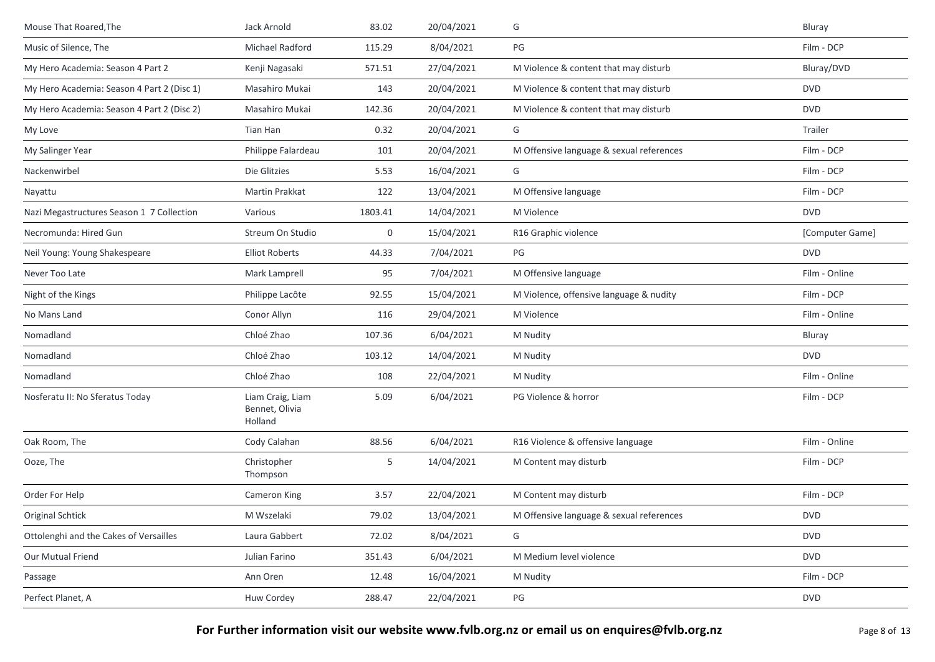| Mouse That Roared, The                     | Jack Arnold                                   | 83.02       | 20/04/2021 | G                                        | Bluray          |
|--------------------------------------------|-----------------------------------------------|-------------|------------|------------------------------------------|-----------------|
| Music of Silence, The                      | Michael Radford                               | 115.29      | 8/04/2021  | $PG$                                     | Film - DCP      |
| My Hero Academia: Season 4 Part 2          | Kenji Nagasaki                                | 571.51      | 27/04/2021 | M Violence & content that may disturb    | Bluray/DVD      |
| My Hero Academia: Season 4 Part 2 (Disc 1) | Masahiro Mukai                                | 143         | 20/04/2021 | M Violence & content that may disturb    | <b>DVD</b>      |
| My Hero Academia: Season 4 Part 2 (Disc 2) | Masahiro Mukai                                | 142.36      | 20/04/2021 | M Violence & content that may disturb    | <b>DVD</b>      |
| My Love                                    | Tian Han                                      | 0.32        | 20/04/2021 | G                                        | Trailer         |
| My Salinger Year                           | Philippe Falardeau                            | 101         | 20/04/2021 | M Offensive language & sexual references | Film - DCP      |
| Nackenwirbel                               | Die Glitzies                                  | 5.53        | 16/04/2021 | G                                        | Film - DCP      |
| Nayattu                                    | <b>Martin Prakkat</b>                         | 122         | 13/04/2021 | M Offensive language                     | Film - DCP      |
| Nazi Megastructures Season 1 7 Collection  | Various                                       | 1803.41     | 14/04/2021 | M Violence                               | <b>DVD</b>      |
| Necromunda: Hired Gun                      | Streum On Studio                              | $\mathbf 0$ | 15/04/2021 | R16 Graphic violence                     | [Computer Game] |
| Neil Young: Young Shakespeare              | <b>Elliot Roberts</b>                         | 44.33       | 7/04/2021  | PG                                       | <b>DVD</b>      |
| Never Too Late                             | Mark Lamprell                                 | 95          | 7/04/2021  | M Offensive language                     | Film - Online   |
| Night of the Kings                         | Philippe Lacôte                               | 92.55       | 15/04/2021 | M Violence, offensive language & nudity  | Film - DCP      |
| No Mans Land                               | Conor Allyn                                   | 116         | 29/04/2021 | M Violence                               | Film - Online   |
| Nomadland                                  | Chloé Zhao                                    | 107.36      | 6/04/2021  | M Nudity                                 | Bluray          |
| Nomadland                                  | Chloé Zhao                                    | 103.12      | 14/04/2021 | M Nudity                                 | <b>DVD</b>      |
| Nomadland                                  | Chloé Zhao                                    | 108         | 22/04/2021 | M Nudity                                 | Film - Online   |
| Nosferatu II: No Sferatus Today            | Liam Craig, Liam<br>Bennet, Olivia<br>Holland | 5.09        | 6/04/2021  | PG Violence & horror                     | Film - DCP      |
| Oak Room, The                              | Cody Calahan                                  | 88.56       | 6/04/2021  | R16 Violence & offensive language        | Film - Online   |
| Ooze, The                                  | Christopher<br>Thompson                       | 5           | 14/04/2021 | M Content may disturb                    | Film - DCP      |
| Order For Help                             | Cameron King                                  | 3.57        | 22/04/2021 | M Content may disturb                    | Film - DCP      |
| <b>Original Schtick</b>                    | M Wszelaki                                    | 79.02       | 13/04/2021 | M Offensive language & sexual references | <b>DVD</b>      |
| Ottolenghi and the Cakes of Versailles     | Laura Gabbert                                 | 72.02       | 8/04/2021  | G                                        | <b>DVD</b>      |
| Our Mutual Friend                          | Julian Farino                                 | 351.43      | 6/04/2021  | M Medium level violence                  | <b>DVD</b>      |
| Passage                                    | Ann Oren                                      | 12.48       | 16/04/2021 | M Nudity                                 | Film - DCP      |
| Perfect Planet, A                          | Huw Cordey                                    | 288.47      | 22/04/2021 | PG                                       | <b>DVD</b>      |
|                                            |                                               |             |            |                                          |                 |

For Further information visit our website www.fvlb.org.nz or email us on enquires@fvlb.org.nz<br>Page 8 of 13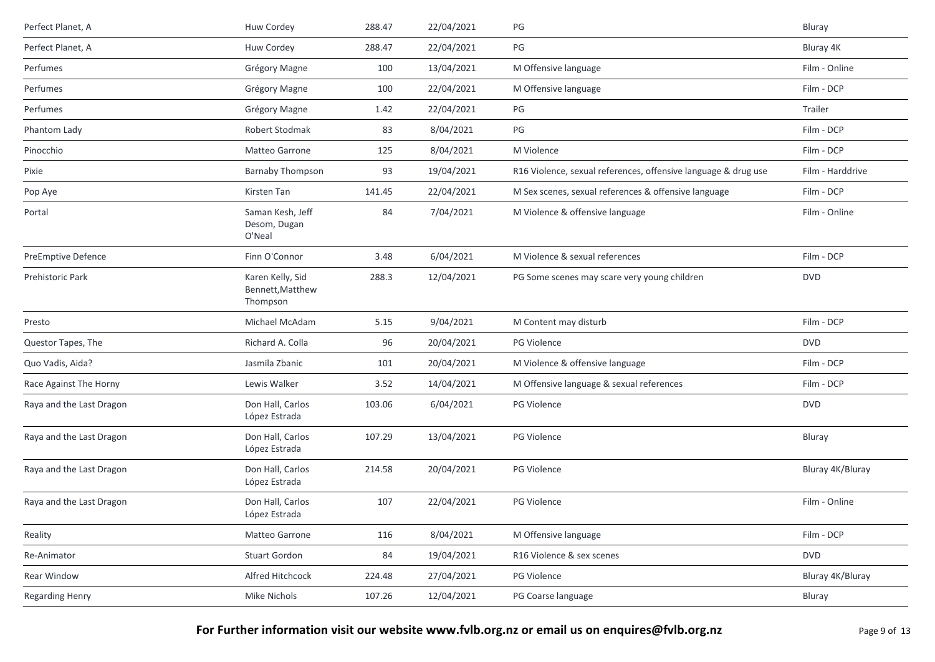| Perfect Planet, A         | Huw Cordey                                       | 288.47 | 22/04/2021 | PG                                                             | Bluray           |
|---------------------------|--------------------------------------------------|--------|------------|----------------------------------------------------------------|------------------|
| Perfect Planet, A         | Huw Cordey                                       | 288.47 | 22/04/2021 | $PG$                                                           | Bluray 4K        |
| Perfumes                  | Grégory Magne                                    | 100    | 13/04/2021 | M Offensive language                                           | Film - Online    |
| Perfumes                  | Grégory Magne                                    | 100    | 22/04/2021 | M Offensive language                                           | Film - DCP       |
| Perfumes                  | Grégory Magne                                    | 1.42   | 22/04/2021 | PG                                                             | Trailer          |
| Phantom Lady              | Robert Stodmak                                   | 83     | 8/04/2021  | PG                                                             | Film - DCP       |
| Pinocchio                 | Matteo Garrone                                   | 125    | 8/04/2021  | M Violence                                                     | Film - DCP       |
| Pixie                     | <b>Barnaby Thompson</b>                          | 93     | 19/04/2021 | R16 Violence, sexual references, offensive language & drug use | Film - Harddrive |
| Pop Aye                   | Kirsten Tan                                      | 141.45 | 22/04/2021 | M Sex scenes, sexual references & offensive language           | Film - DCP       |
| Portal                    | Saman Kesh, Jeff<br>Desom, Dugan<br>O'Neal       | 84     | 7/04/2021  | M Violence & offensive language                                | Film - Online    |
| <b>PreEmptive Defence</b> | Finn O'Connor                                    | 3.48   | 6/04/2021  | M Violence & sexual references                                 | Film - DCP       |
| Prehistoric Park          | Karen Kelly, Sid<br>Bennett, Matthew<br>Thompson | 288.3  | 12/04/2021 | PG Some scenes may scare very young children                   | <b>DVD</b>       |
| Presto                    | Michael McAdam                                   | 5.15   | 9/04/2021  | M Content may disturb                                          | Film - DCP       |
| Questor Tapes, The        | Richard A. Colla                                 | 96     | 20/04/2021 | PG Violence                                                    | <b>DVD</b>       |
| Quo Vadis, Aida?          | Jasmila Zbanic                                   | 101    | 20/04/2021 | M Violence & offensive language                                | Film - DCP       |
| Race Against The Horny    | Lewis Walker                                     | 3.52   | 14/04/2021 | M Offensive language & sexual references                       | Film - DCP       |
| Raya and the Last Dragon  | Don Hall, Carlos<br>López Estrada                | 103.06 | 6/04/2021  | PG Violence                                                    | <b>DVD</b>       |
| Raya and the Last Dragon  | Don Hall, Carlos<br>López Estrada                | 107.29 | 13/04/2021 | <b>PG Violence</b>                                             | Bluray           |
| Raya and the Last Dragon  | Don Hall, Carlos<br>López Estrada                | 214.58 | 20/04/2021 | PG Violence                                                    | Bluray 4K/Bluray |
| Raya and the Last Dragon  | Don Hall, Carlos<br>López Estrada                | 107    | 22/04/2021 | PG Violence                                                    | Film - Online    |
| Reality                   | Matteo Garrone                                   | 116    | 8/04/2021  | M Offensive language                                           | Film - DCP       |
| Re-Animator               | <b>Stuart Gordon</b>                             | 84     | 19/04/2021 | R16 Violence & sex scenes                                      | <b>DVD</b>       |
| Rear Window               | Alfred Hitchcock                                 | 224.48 | 27/04/2021 | PG Violence                                                    | Bluray 4K/Bluray |
| <b>Regarding Henry</b>    | Mike Nichols                                     | 107.26 | 12/04/2021 | PG Coarse language                                             | Bluray           |
|                           |                                                  |        |            |                                                                |                  |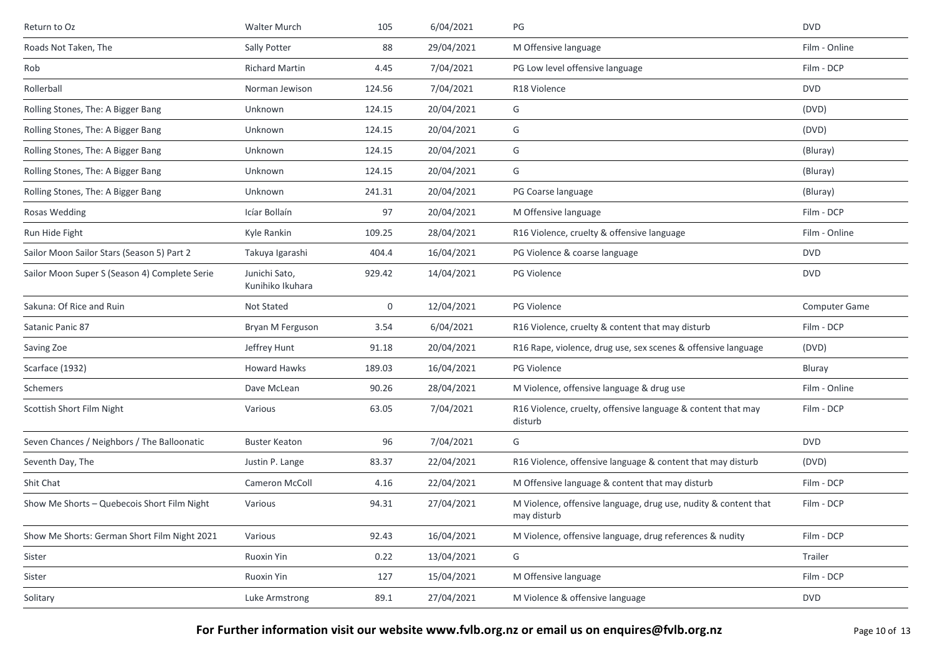| Return to Oz                                  | Walter Murch                      | 105    | 6/04/2021  | PG                                                                             | <b>DVD</b>           |
|-----------------------------------------------|-----------------------------------|--------|------------|--------------------------------------------------------------------------------|----------------------|
| Roads Not Taken, The                          | Sally Potter                      | 88     | 29/04/2021 | M Offensive language                                                           | Film - Online        |
| Rob                                           | <b>Richard Martin</b>             | 4.45   | 7/04/2021  | PG Low level offensive language                                                | Film - DCP           |
| Rollerball                                    | Norman Jewison                    | 124.56 | 7/04/2021  | R <sub>18</sub> Violence                                                       | <b>DVD</b>           |
| Rolling Stones, The: A Bigger Bang            | Unknown                           | 124.15 | 20/04/2021 | G                                                                              | (DVD)                |
| Rolling Stones, The: A Bigger Bang            | Unknown                           | 124.15 | 20/04/2021 | G                                                                              | (DVD)                |
| Rolling Stones, The: A Bigger Bang            | Unknown                           | 124.15 | 20/04/2021 | G                                                                              | (Bluray)             |
| Rolling Stones, The: A Bigger Bang            | Unknown                           | 124.15 | 20/04/2021 | G                                                                              | (Bluray)             |
| Rolling Stones, The: A Bigger Bang            | Unknown                           | 241.31 | 20/04/2021 | PG Coarse language                                                             | (Bluray)             |
| Rosas Wedding                                 | Icíar Bollaín                     | 97     | 20/04/2021 | M Offensive language                                                           | Film - DCP           |
| Run Hide Fight                                | Kyle Rankin                       | 109.25 | 28/04/2021 | R16 Violence, cruelty & offensive language                                     | Film - Online        |
| Sailor Moon Sailor Stars (Season 5) Part 2    | Takuya Igarashi                   | 404.4  | 16/04/2021 | PG Violence & coarse language                                                  | <b>DVD</b>           |
| Sailor Moon Super S (Season 4) Complete Serie | Junichi Sato,<br>Kunihiko Ikuhara | 929.42 | 14/04/2021 | PG Violence                                                                    | <b>DVD</b>           |
| Sakuna: Of Rice and Ruin                      | Not Stated                        | 0      | 12/04/2021 | PG Violence                                                                    | <b>Computer Game</b> |
| Satanic Panic 87                              | Bryan M Ferguson                  | 3.54   | 6/04/2021  | R16 Violence, cruelty & content that may disturb                               | Film - DCP           |
| Saving Zoe                                    | Jeffrey Hunt                      | 91.18  | 20/04/2021 | R16 Rape, violence, drug use, sex scenes & offensive language                  | (DVD)                |
| Scarface (1932)                               | <b>Howard Hawks</b>               | 189.03 | 16/04/2021 | <b>PG Violence</b>                                                             | Bluray               |
| Schemers                                      | Dave McLean                       | 90.26  | 28/04/2021 | M Violence, offensive language & drug use                                      | Film - Online        |
| Scottish Short Film Night                     | Various                           | 63.05  | 7/04/2021  | R16 Violence, cruelty, offensive language & content that may<br>disturb        | Film - DCP           |
| Seven Chances / Neighbors / The Balloonatic   | <b>Buster Keaton</b>              | 96     | 7/04/2021  | G                                                                              | <b>DVD</b>           |
| Seventh Day, The                              | Justin P. Lange                   | 83.37  | 22/04/2021 | R16 Violence, offensive language & content that may disturb                    | (DVD)                |
| Shit Chat                                     | <b>Cameron McColl</b>             | 4.16   | 22/04/2021 | M Offensive language & content that may disturb                                | Film - DCP           |
| Show Me Shorts - Quebecois Short Film Night   | Various                           | 94.31  | 27/04/2021 | M Violence, offensive language, drug use, nudity & content that<br>may disturb | Film - DCP           |
| Show Me Shorts: German Short Film Night 2021  | Various                           | 92.43  | 16/04/2021 | M Violence, offensive language, drug references & nudity                       | Film - DCP           |
| Sister                                        | Ruoxin Yin                        | 0.22   | 13/04/2021 | G                                                                              | Trailer              |
| Sister                                        | Ruoxin Yin                        | 127    | 15/04/2021 | M Offensive language                                                           | Film - DCP           |
| Solitary                                      | Luke Armstrong                    | 89.1   | 27/04/2021 | M Violence & offensive language                                                | <b>DVD</b>           |
|                                               |                                   |        |            |                                                                                |                      |

**For Further information visit our website www.fvlb.org.nz or email us on enquires@fvlb.org.nz** Page 10 of 13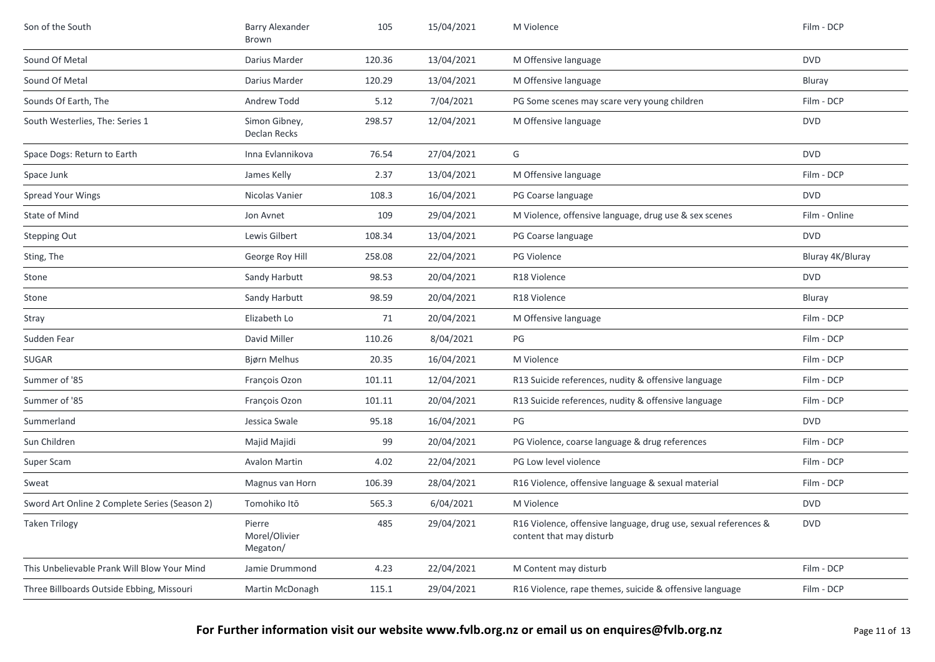| Son of the South                              | <b>Barry Alexander</b><br>Brown     | 105    | 15/04/2021 | M Violence                                                                                  | Film - DCP       |
|-----------------------------------------------|-------------------------------------|--------|------------|---------------------------------------------------------------------------------------------|------------------|
| Sound Of Metal                                | Darius Marder                       | 120.36 | 13/04/2021 | M Offensive language                                                                        | <b>DVD</b>       |
| Sound Of Metal                                | Darius Marder                       | 120.29 | 13/04/2021 | M Offensive language                                                                        | Bluray           |
| Sounds Of Earth, The                          | Andrew Todd                         | 5.12   | 7/04/2021  | PG Some scenes may scare very young children                                                | Film - DCP       |
| South Westerlies, The: Series 1               | Simon Gibney,<br>Declan Recks       | 298.57 | 12/04/2021 | M Offensive language                                                                        | <b>DVD</b>       |
| Space Dogs: Return to Earth                   | Inna Evlannikova                    | 76.54  | 27/04/2021 | G                                                                                           | <b>DVD</b>       |
| Space Junk                                    | James Kelly                         | 2.37   | 13/04/2021 | M Offensive language                                                                        | Film - DCP       |
| <b>Spread Your Wings</b>                      | Nicolas Vanier                      | 108.3  | 16/04/2021 | PG Coarse language                                                                          | <b>DVD</b>       |
| State of Mind                                 | Jon Avnet                           | 109    | 29/04/2021 | M Violence, offensive language, drug use & sex scenes                                       | Film - Online    |
| <b>Stepping Out</b>                           | Lewis Gilbert                       | 108.34 | 13/04/2021 | PG Coarse language                                                                          | <b>DVD</b>       |
| Sting, The                                    | George Roy Hill                     | 258.08 | 22/04/2021 | PG Violence                                                                                 | Bluray 4K/Bluray |
| Stone                                         | Sandy Harbutt                       | 98.53  | 20/04/2021 | R18 Violence                                                                                | <b>DVD</b>       |
| Stone                                         | Sandy Harbutt                       | 98.59  | 20/04/2021 | R18 Violence                                                                                | Bluray           |
| Stray                                         | Elizabeth Lo                        | 71     | 20/04/2021 | M Offensive language                                                                        | Film - DCP       |
| Sudden Fear                                   | David Miller                        | 110.26 | 8/04/2021  | PG                                                                                          | Film - DCP       |
| <b>SUGAR</b>                                  | Bjørn Melhus                        | 20.35  | 16/04/2021 | M Violence                                                                                  | Film - DCP       |
| Summer of '85                                 | François Ozon                       | 101.11 | 12/04/2021 | R13 Suicide references, nudity & offensive language                                         | Film - DCP       |
| Summer of '85                                 | François Ozon                       | 101.11 | 20/04/2021 | R13 Suicide references, nudity & offensive language                                         | Film - DCP       |
| Summerland                                    | Jessica Swale                       | 95.18  | 16/04/2021 | PG                                                                                          | <b>DVD</b>       |
| Sun Children                                  | Majid Majidi                        | 99     | 20/04/2021 | PG Violence, coarse language & drug references                                              | Film - DCP       |
| Super Scam                                    | <b>Avalon Martin</b>                | 4.02   | 22/04/2021 | PG Low level violence                                                                       | Film - DCP       |
| Sweat                                         | Magnus van Horn                     | 106.39 | 28/04/2021 | R16 Violence, offensive language & sexual material                                          | Film - DCP       |
| Sword Art Online 2 Complete Series (Season 2) | Tomohiko Itō                        | 565.3  | 6/04/2021  | M Violence                                                                                  | <b>DVD</b>       |
| <b>Taken Trilogy</b>                          | Pierre<br>Morel/Olivier<br>Megaton/ | 485    | 29/04/2021 | R16 Violence, offensive language, drug use, sexual references &<br>content that may disturb | <b>DVD</b>       |
| This Unbelievable Prank Will Blow Your Mind   | Jamie Drummond                      | 4.23   | 22/04/2021 | M Content may disturb                                                                       | Film - DCP       |
| Three Billboards Outside Ebbing, Missouri     | Martin McDonagh                     | 115.1  | 29/04/2021 | R16 Violence, rape themes, suicide & offensive language                                     | Film - DCP       |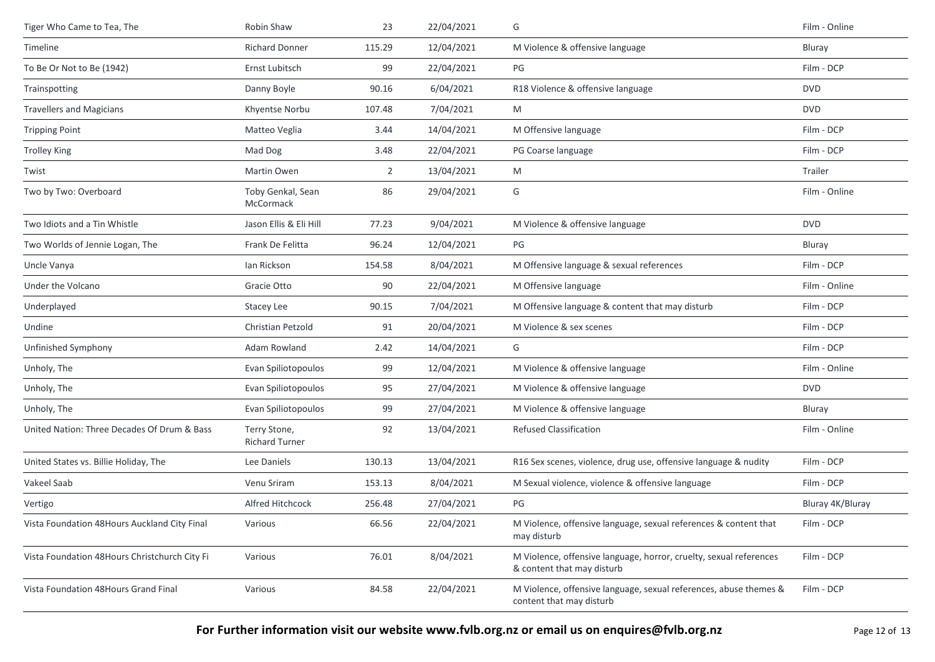| Tiger Who Came to Tea, The                    | Robin Shaw                            | 23             | 22/04/2021 | G                                                                                                | Film - Online    |
|-----------------------------------------------|---------------------------------------|----------------|------------|--------------------------------------------------------------------------------------------------|------------------|
| Timeline                                      | <b>Richard Donner</b>                 | 115.29         | 12/04/2021 | M Violence & offensive language                                                                  | Bluray           |
| To Be Or Not to Be (1942)                     | Ernst Lubitsch                        | 99             | 22/04/2021 | PG                                                                                               | Film - DCP       |
| Trainspotting                                 | Danny Boyle                           | 90.16          | 6/04/2021  | R18 Violence & offensive language                                                                | <b>DVD</b>       |
| <b>Travellers and Magicians</b>               | Khyentse Norbu                        | 107.48         | 7/04/2021  | M                                                                                                | <b>DVD</b>       |
| <b>Tripping Point</b>                         | Matteo Veglia                         | 3.44           | 14/04/2021 | M Offensive language                                                                             | Film - DCP       |
| <b>Trolley King</b>                           | Mad Dog                               | 3.48           | 22/04/2021 | PG Coarse language                                                                               | Film - DCP       |
| Twist                                         | Martin Owen                           | $\overline{2}$ | 13/04/2021 | M                                                                                                | Trailer          |
| Two by Two: Overboard                         | Toby Genkal, Sean<br>McCormack        | 86             | 29/04/2021 | G                                                                                                | Film - Online    |
| Two Idiots and a Tin Whistle                  | Jason Ellis & Eli Hill                | 77.23          | 9/04/2021  | M Violence & offensive language                                                                  | <b>DVD</b>       |
| Two Worlds of Jennie Logan, The               | Frank De Felitta                      | 96.24          | 12/04/2021 | PG                                                                                               | Bluray           |
| Uncle Vanya                                   | Ian Rickson                           | 154.58         | 8/04/2021  | M Offensive language & sexual references                                                         | Film - DCP       |
| Under the Volcano                             | Gracie Otto                           | 90             | 22/04/2021 | M Offensive language                                                                             | Film - Online    |
| Underplayed                                   | Stacey Lee                            | 90.15          | 7/04/2021  | M Offensive language & content that may disturb                                                  | Film - DCP       |
| Undine                                        | Christian Petzold                     | 91             | 20/04/2021 | M Violence & sex scenes                                                                          | Film - DCP       |
| Unfinished Symphony                           | Adam Rowland                          | 2.42           | 14/04/2021 | G                                                                                                | Film - DCP       |
| Unholy, The                                   | Evan Spiliotopoulos                   | 99             | 12/04/2021 | M Violence & offensive language                                                                  | Film - Online    |
| Unholy, The                                   | Evan Spiliotopoulos                   | 95             | 27/04/2021 | M Violence & offensive language                                                                  | <b>DVD</b>       |
| Unholy, The                                   | Evan Spiliotopoulos                   | 99             | 27/04/2021 | M Violence & offensive language                                                                  | Bluray           |
| United Nation: Three Decades Of Drum & Bass   | Terry Stone,<br><b>Richard Turner</b> | 92             | 13/04/2021 | Refused Classification                                                                           | Film - Online    |
| United States vs. Billie Holiday, The         | Lee Daniels                           | 130.13         | 13/04/2021 | R16 Sex scenes, violence, drug use, offensive language & nudity                                  | Film - DCP       |
| Vakeel Saab                                   | Venu Sriram                           | 153.13         | 8/04/2021  | M Sexual violence, violence & offensive language                                                 | Film - DCP       |
| Vertigo                                       | Alfred Hitchcock                      | 256.48         | 27/04/2021 | PG                                                                                               | Bluray 4K/Bluray |
| Vista Foundation 48Hours Auckland City Final  | Various                               | 66.56          | 22/04/2021 | M Violence, offensive language, sexual references & content that<br>may disturb                  | Film - DCP       |
| Vista Foundation 48Hours Christchurch City Fi | Various                               | 76.01          | 8/04/2021  | M Violence, offensive language, horror, cruelty, sexual references<br>& content that may disturb | Film - DCP       |
| Vista Foundation 48Hours Grand Final          | Various                               | 84.58          | 22/04/2021 | M Violence, offensive language, sexual references, abuse themes &<br>content that may disturb    | Film - DCP       |
|                                               |                                       |                |            |                                                                                                  |                  |